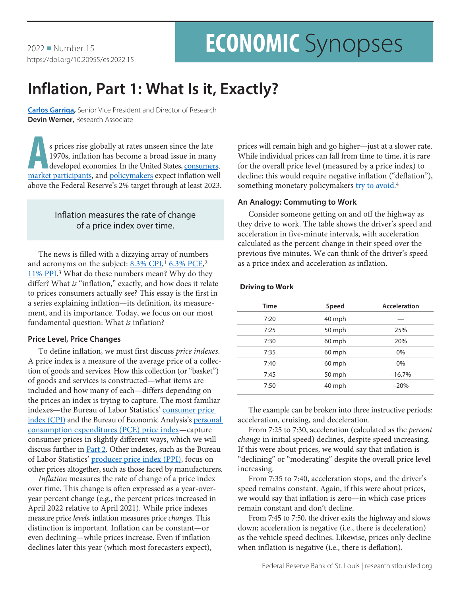2022 Number 15 https://doi.org/10.20955/es.2022.15

# **ECONOMIC** Synopses

## **Inflation, Part 1: What Is it, Exactly?**

**[Carlos Garriga](https://research.stlouisfed.org/econ/garriga/sel/),** Senior Vice President and Director of Research **Devin Werner,** Research Associate

**A**s prices rise globally at rates unseen since the late 1970s, inflation has become a broad issue in many developed economies. In the United States, [consumers,](https://fred.stlouisfed.org/series/MICH) [market participants,](https://fred.stlouisfed.org/series/T5YIE) and [policymakers](https://fred.stlouisfed.org/series/PCECTPICTM) expect inflation well above the Federal Reserve's 2% target through at least 2023.

## Inflation measures the rate of change of a price index over time.

The news is filled with a dizzying array of numbers and acronyms on the subject: 8.[3% CPI](https://www.cnbc.com/2022/05/11/cpi-april-2022.html),<sup>1</sup> [6.3% PCE](https://www.marketwatch.com/story/u-s-inflation-rate-slows-to-6-3-pce-shows-in-sign-price-pressures-could-be-near-peak-11653655258),<sup>2</sup> [11% PPI](https://www.wsj.com/articles/producer-price-gains-edged-downward-in-april-but-remain-elevated-11652360313).<sup>3</sup> What do these numbers mean? Why do they differ? What *is* "inflation," exactly, and how does it relate to prices consumers actually see? This essay is the first in a series explaining inflation—its definition, its measurement, and its importance. Today, we focus on our most fundamental question: What *is* inflation?

## **Price Level, Price Changes**

To define inflation, we must first discuss *price indexes*. A price index is a measure of the average price of a collection of goods and services. How this collection (or "basket") of goods and services is constructed—what items are included and how many of each—differs depending on the prices an index is trying to capture. The most familiar indexes—the Bureau of Labor Statistics' [consumer price](https://www.bls.gov/cpi/)  [index \(CPI\)](https://www.bls.gov/cpi/) and the Bureau of Economic Analysis's personal [consumption expenditures \(PCE\) price index](https://www.bea.gov/data/personal-consumption-expenditures-price-index)—capture consumer prices in slightly different ways, which we will discuss further in **[Part 2](https://research.stlouisfed.org/publications/economic-synopses/2022/06/22/inflation-part-2-how-do-we-construct-and-choose-an-index)**. Other indexes, such as the Bureau of Labor Statistics' [producer price index \(PPI\),](https://www.bls.gov/ppi/) focus on other prices altogether, such as those faced by manufacturers.

*Inflation* measures the rate of change of a price index over time. This change is often expressed as a year-overyear percent change (e.g., the percent prices increased in April 2022 relative to April 2021). While price indexes measure price *levels*, inflation measures price *changes*. This distinction is important. Inflation can be constant—or even declining—while prices increase. Even if inflation declines later this year (which most forecasters expect),

prices will remain high and go higher—just at a slower rate. While individual prices can fall from time to time, it is rare for the overall price level (measured by a price index) to decline; this would require negative inflation ("deflation"), something monetary policymakers [try to avoid.](https://www.frbsf.org/education/publications/doctor-econ/2003/may/deflation-risks/)<sup>4</sup>

## **An Analogy: Commuting to Work**

Consider someone getting on and off the highway as they drive to work. The table shows the driver's speed and acceleration in five-minute intervals, with acceleration calculated as the percent change in their speed over the previous five minutes. We can think of the driver's speed as a price index and acceleration as inflation.

## **Driving to Work**

| <b>Time</b> | Speed  | Acceleration |
|-------------|--------|--------------|
| 7:20        | 40 mph |              |
| 7:25        | 50 mph | 25%          |
| 7:30        | 60 mph | 20%          |
| 7:35        | 60 mph | 0%           |
| 7:40        | 60 mph | 0%           |
| 7:45        | 50 mph | $-16.7%$     |
| 7:50        | 40 mph | $-20%$       |

The example can be broken into three instructive periods: acceleration, cruising, and deceleration.

From 7:25 to 7:30, acceleration (calculated as the *percent change* in initial speed) declines, despite speed increasing. If this were about prices, we would say that inflation is "declining" or "moderating" despite the overall price level increasing.

From 7:35 to 7:40, acceleration stops, and the driver's speed remains constant. Again, if this were about prices, we would say that inflation is zero—in which case prices remain constant and don't decline.

From 7:45 to 7:50, the driver exits the highway and slows down; acceleration is negative (i.e., there is deceleration) as the vehicle speed declines. Likewise, prices only decline when inflation is negative (i.e., there is deflation).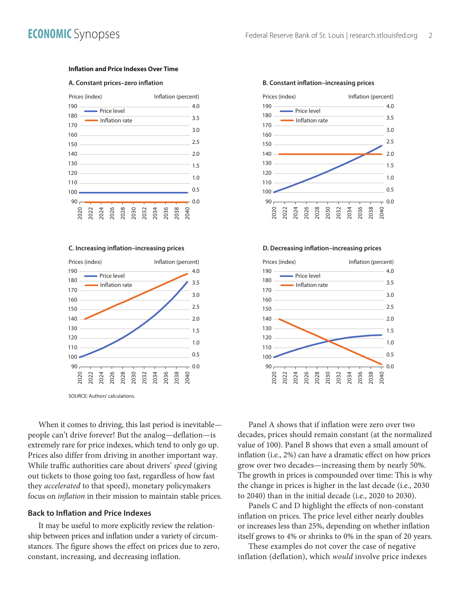#### **Inflation and Price Indexes Over Time**

#### **A. Constant prices-zero inflation**





When it comes to driving, this last period is inevitable people can't drive forever! But the analog—deflation—is extremely rare for price indexes, which tend to only go up. Prices also differ from driving in another important way. While traffic authorities care about drivers' *speed* (giving out tickets to those going too fast, regardless of how fast they *accelerated* to that speed), monetary policymakers focus on *inflation* in their mission to maintain stable prices.

#### **Back to Inflation and Price Indexes**

It may be useful to more explicitly review the relationship between prices and inflation under a variety of circumstances. The figure shows the effect on prices due to zero, constant, increasing, and decreasing inflation.



#### **B. Constant inflation-increasing prices**

#### **C. Increasing ination–increasing prices D. Decreasing ination–increasing prices**



Panel A shows that if inflation were zero over two decades, prices should remain constant (at the normalized value of 100). Panel B shows that even a small amount of inflation (i.e., 2%) can have a dramatic effect on how prices grow over two decades—increasing them by nearly 50%. The growth in prices is compounded over time: This is why the change in prices is higher in the last decade (i.e., 2030 to 2040) than in the initial decade (i.e., 2020 to 2030).

Panels C and D highlight the effects of non-constant inflation on prices. The price level either nearly doubles or increases less than 25%, depending on whether inflation itself grows to 4% or shrinks to 0% in the span of 20 years.

These examples do not cover the case of negative inflation (deflation), which *would* involve price indexes